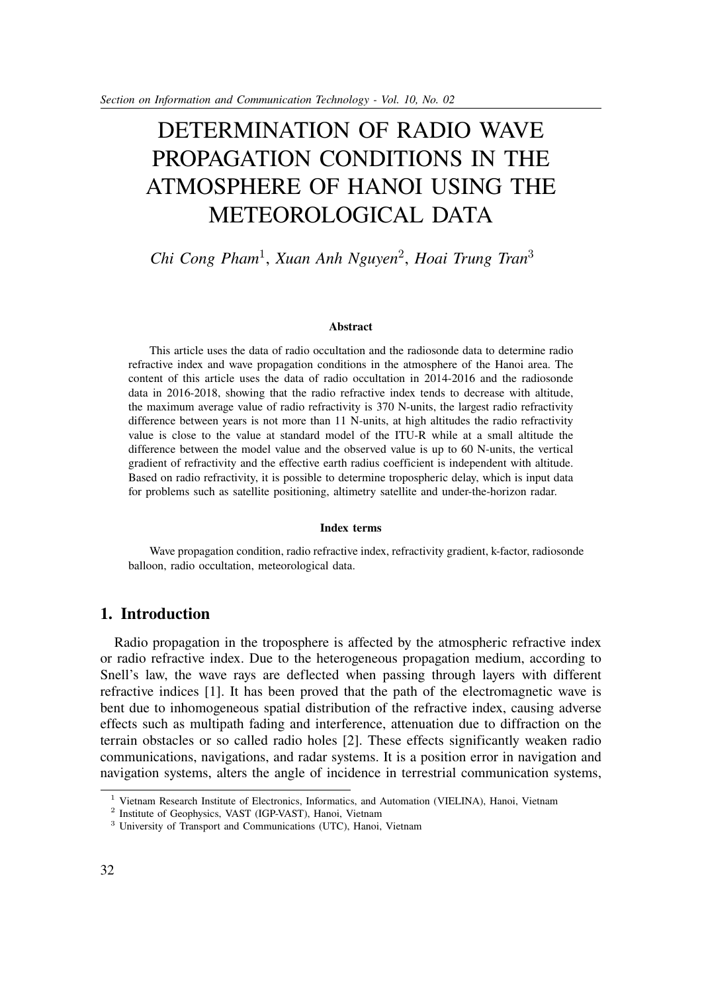# DETERMINATION OF RADIO WAVE PROPAGATION CONDITIONS IN THE ATMOSPHERE OF HANOI USING THE METEOROLOGICAL DATA

## *Chi Cong Pham*<sup>1</sup> , *Xuan Anh Nguyen*<sup>2</sup> , *Hoai Trung Tran*<sup>3</sup>

#### **Abstract**

This article uses the data of radio occultation and the radiosonde data to determine radio refractive index and wave propagation conditions in the atmosphere of the Hanoi area. The content of this article uses the data of radio occultation in 2014-2016 and the radiosonde data in 2016-2018, showing that the radio refractive index tends to decrease with altitude, the maximum average value of radio refractivity is 370 N-units, the largest radio refractivity difference between years is not more than 11 N-units, at high altitudes the radio refractivity value is close to the value at standard model of the ITU-R while at a small altitude the difference between the model value and the observed value is up to 60 N-units, the vertical gradient of refractivity and the effective earth radius coefficient is independent with altitude. Based on radio refractivity, it is possible to determine tropospheric delay, which is input data for problems such as satellite positioning, altimetry satellite and under-the-horizon radar.

#### **Index terms**

Wave propagation condition, radio refractive index, refractivity gradient, k-factor, radiosonde balloon, radio occultation, meteorological data.

## **1. Introduction**

Radio propagation in the troposphere is affected by the atmospheric refractive index or radio refractive index. Due to the heterogeneous propagation medium, according to Snell's law, the wave rays are deflected when passing through layers with different refractive indices [1]. It has been proved that the path of the electromagnetic wave is bent due to inhomogeneous spatial distribution of the refractive index, causing adverse effects such as multipath fading and interference, attenuation due to diffraction on the terrain obstacles or so called radio holes [2]. These effects significantly weaken radio communications, navigations, and radar systems. It is a position error in navigation and navigation systems, alters the angle of incidence in terrestrial communication systems,

<sup>&</sup>lt;sup>1</sup> Vietnam Research Institute of Electronics, Informatics, and Automation (VIELINA), Hanoi, Vietnam

<sup>&</sup>lt;sup>2</sup> Institute of Geophysics, VAST (IGP-VAST), Hanoi, Vietnam

<sup>&</sup>lt;sup>3</sup> University of Transport and Communications (UTC), Hanoi, Vietnam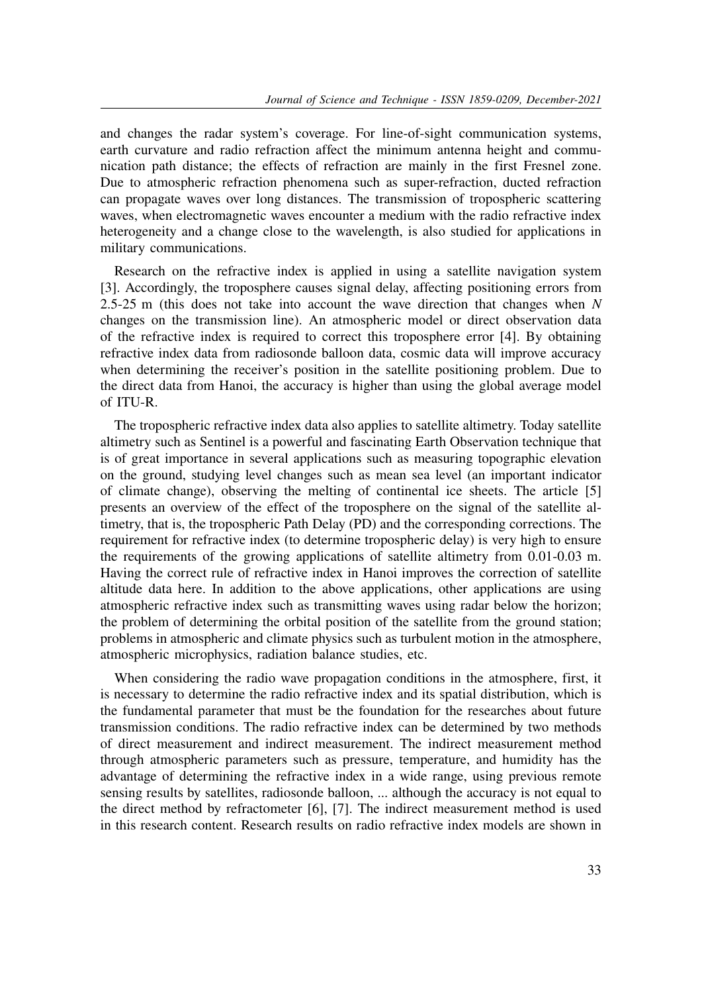and changes the radar system's coverage. For line-of-sight communication systems, earth curvature and radio refraction affect the minimum antenna height and communication path distance; the effects of refraction are mainly in the first Fresnel zone. Due to atmospheric refraction phenomena such as super-refraction, ducted refraction can propagate waves over long distances. The transmission of tropospheric scattering waves, when electromagnetic waves encounter a medium with the radio refractive index heterogeneity and a change close to the wavelength, is also studied for applications in military communications.

Research on the refractive index is applied in using a satellite navigation system [3]. Accordingly, the troposphere causes signal delay, affecting positioning errors from 2.5-25 m (this does not take into account the wave direction that changes when *N* changes on the transmission line). An atmospheric model or direct observation data of the refractive index is required to correct this troposphere error [4]. By obtaining refractive index data from radiosonde balloon data, cosmic data will improve accuracy when determining the receiver's position in the satellite positioning problem. Due to the direct data from Hanoi, the accuracy is higher than using the global average model of ITU-R.

The tropospheric refractive index data also applies to satellite altimetry. Today satellite altimetry such as Sentinel is a powerful and fascinating Earth Observation technique that is of great importance in several applications such as measuring topographic elevation on the ground, studying level changes such as mean sea level (an important indicator of climate change), observing the melting of continental ice sheets. The article [5] presents an overview of the effect of the troposphere on the signal of the satellite altimetry, that is, the tropospheric Path Delay (PD) and the corresponding corrections. The requirement for refractive index (to determine tropospheric delay) is very high to ensure the requirements of the growing applications of satellite altimetry from 0.01-0.03 m. Having the correct rule of refractive index in Hanoi improves the correction of satellite altitude data here. In addition to the above applications, other applications are using atmospheric refractive index such as transmitting waves using radar below the horizon; the problem of determining the orbital position of the satellite from the ground station; problems in atmospheric and climate physics such as turbulent motion in the atmosphere, atmospheric microphysics, radiation balance studies, etc.

When considering the radio wave propagation conditions in the atmosphere, first, it is necessary to determine the radio refractive index and its spatial distribution, which is the fundamental parameter that must be the foundation for the researches about future transmission conditions. The radio refractive index can be determined by two methods of direct measurement and indirect measurement. The indirect measurement method through atmospheric parameters such as pressure, temperature, and humidity has the advantage of determining the refractive index in a wide range, using previous remote sensing results by satellites, radiosonde balloon, ... although the accuracy is not equal to the direct method by refractometer [6], [7]. The indirect measurement method is used in this research content. Research results on radio refractive index models are shown in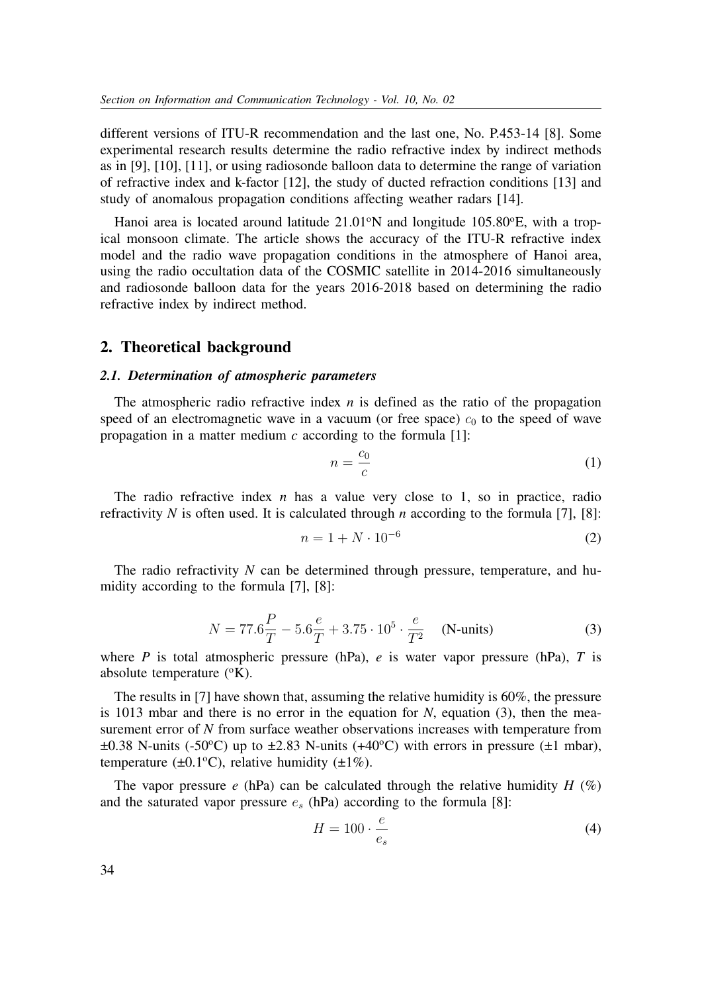different versions of ITU-R recommendation and the last one, No. P.453-14 [8]. Some experimental research results determine the radio refractive index by indirect methods as in [9], [10], [11], or using radiosonde balloon data to determine the range of variation of refractive index and k-factor [12], the study of ducted refraction conditions [13] and study of anomalous propagation conditions affecting weather radars [14].

Hanoi area is located around latitude  $21.01\textdegree N$  and longitude  $105.80\textdegree E$ , with a tropical monsoon climate. The article shows the accuracy of the ITU-R refractive index model and the radio wave propagation conditions in the atmosphere of Hanoi area, using the radio occultation data of the COSMIC satellite in 2014-2016 simultaneously and radiosonde balloon data for the years 2016-2018 based on determining the radio refractive index by indirect method.

#### **2. Theoretical background**

#### *2.1. Determination of atmospheric parameters*

The atmospheric radio refractive index *n* is defined as the ratio of the propagation speed of an electromagnetic wave in a vacuum (or free space)  $c_0$  to the speed of wave propagation in a matter medium *c* according to the formula [1]:

$$
n = \frac{c_0}{c} \tag{1}
$$

The radio refractive index *n* has a value very close to 1, so in practice, radio refractivity *N* is often used. It is calculated through *n* according to the formula [7], [8]:

$$
n = 1 + N \cdot 10^{-6} \tag{2}
$$

The radio refractivity *N* can be determined through pressure, temperature, and humidity according to the formula [7], [8]:

$$
N = 77.6 \frac{P}{T} - 5.6 \frac{e}{T} + 3.75 \cdot 10^5 \cdot \frac{e}{T^2}
$$
 (N-units) (3)

where *P* is total atmospheric pressure (hPa), *e* is water vapor pressure (hPa), *T* is absolute temperature  $(^{\circ}K)$ .

The results in [7] have shown that, assuming the relative humidity is 60%, the pressure is 1013 mbar and there is no error in the equation for *N*, equation (3), then the measurement error of *N* from surface weather observations increases with temperature from  $\pm 0.38$  N-units (-50°C) up to  $\pm 2.83$  N-units (+40°C) with errors in pressure ( $\pm 1$  mbar), temperature ( $\pm 0.1$ °C), relative humidity ( $\pm 1\%$ ).

The vapor pressure  $e$  (hPa) can be calculated through the relative humidity  $H$  (%) and the saturated vapor pressure  $e_s$  (hPa) according to the formula [8]:

$$
H = 100 \cdot \frac{e}{e_s} \tag{4}
$$

34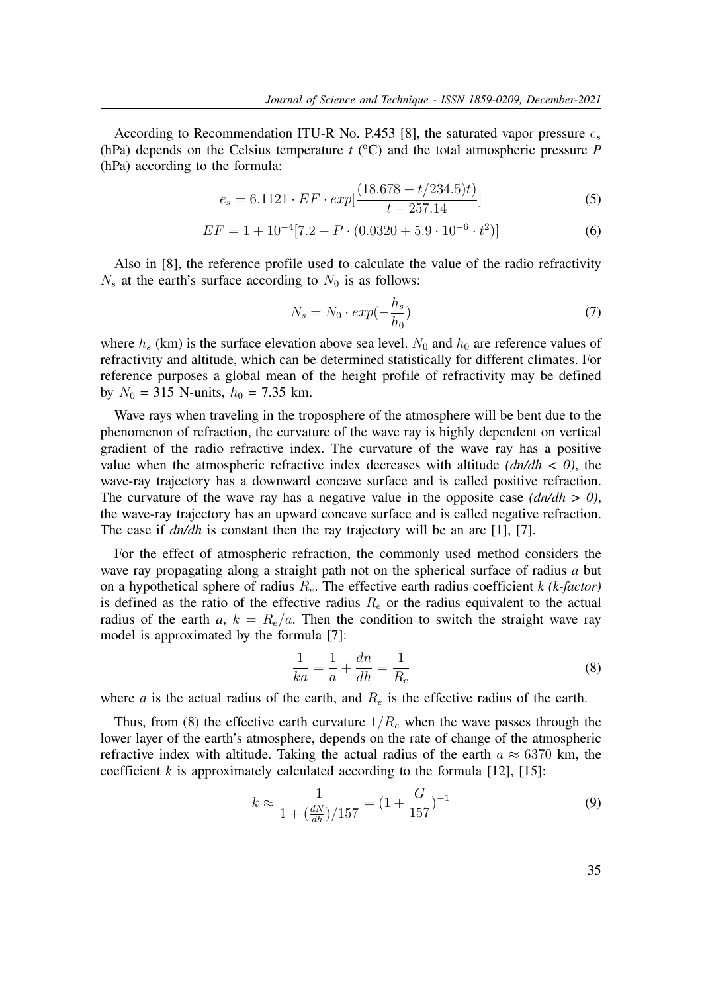According to Recommendation ITU-R No. P.453 [8], the saturated vapor pressure  $e_s$ (hPa) depends on the Celsius temperature  $t$  ( $\rm ^{o}C$ ) and the total atmospheric pressure *P* (hPa) according to the formula:

$$
e_s = 6.1121 \cdot EF \cdot exp[\frac{(18.678 - t/234.5)t)}{t + 257.14}]
$$
\n(5)

$$
EF = 1 + 10^{-4} [7.2 + P \cdot (0.0320 + 5.9 \cdot 10^{-6} \cdot t^2)] \tag{6}
$$

Also in [8], the reference profile used to calculate the value of the radio refractivity  $N_s$  at the earth's surface according to  $N_0$  is as follows:

$$
N_s = N_0 \cdot exp(-\frac{h_s}{h_0}) \tag{7}
$$

where  $h_s$  (km) is the surface elevation above sea level.  $N_0$  and  $h_0$  are reference values of refractivity and altitude, which can be determined statistically for different climates. For reference purposes a global mean of the height profile of refractivity may be defined by  $N_0 = 315$  N-units,  $h_0 = 7.35$  km.

Wave rays when traveling in the troposphere of the atmosphere will be bent due to the phenomenon of refraction, the curvature of the wave ray is highly dependent on vertical gradient of the radio refractive index. The curvature of the wave ray has a positive value when the atmospheric refractive index decreases with altitude *(dn/dh < 0)*, the wave-ray trajectory has a downward concave surface and is called positive refraction. The curvature of the wave ray has a negative value in the opposite case  $(dn/dh > 0)$ , the wave-ray trajectory has an upward concave surface and is called negative refraction. The case if  $dn/dh$  is constant then the ray trajectory will be an arc [1], [7].

For the effect of atmospheric refraction, the commonly used method considers the wave ray propagating along a straight path not on the spherical surface of radius *a* but on a hypothetical sphere of radius  $R_e$ . The effective earth radius coefficient *k* (*k*-factor) is defined as the ratio of the effective radius  $R_e$  or the radius equivalent to the actual radius of the earth  $a, k = R_e/a$ . Then the condition to switch the straight wave ray model is approximated by the formula [7]:

$$
\frac{1}{ka} = \frac{1}{a} + \frac{dn}{dh} = \frac{1}{R_e}
$$
\n<sup>(8)</sup>

where *a* is the actual radius of the earth, and  $R_e$  is the effective radius of the earth.

Thus, from (8) the effective earth curvature  $1/R_e$  when the wave passes through the lower layer of the earth's atmosphere, depends on the rate of change of the atmospheric refractive index with altitude. Taking the actual radius of the earth  $a \approx 6370$  km, the coefficient  $k$  is approximately calculated according to the formula  $[12]$ ,  $[15]$ :

$$
k \approx \frac{1}{1 + \left(\frac{dN}{dh}\right) / 157} = \left(1 + \frac{G}{157}\right)^{-1} \tag{9}
$$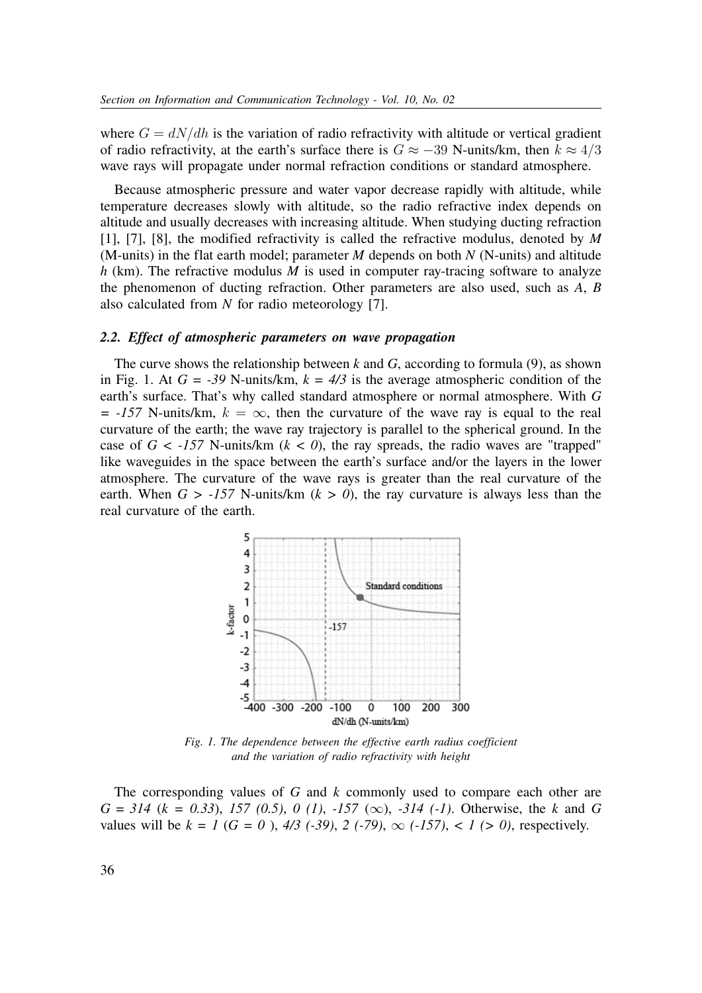where  $G = dN/dh$  is the variation of radio refractivity with altitude or vertical gradient of radio refractivity, at the earth's surface there is  $G \approx -39$  N-units/km, then  $k \approx 4/3$ wave rays will propagate under normal refraction conditions or standard atmosphere.

Because atmospheric pressure and water vapor decrease rapidly with altitude, while temperature decreases slowly with altitude, so the radio refractive index depends on altitude and usually decreases with increasing altitude. When studying ducting refraction [1], [7], [8], the modified refractivity is called the refractive modulus, denoted by *M* (M-units) in the flat earth model; parameter *M* depends on both *N* (N-units) and altitude *h* (km). The refractive modulus *M* is used in computer ray-tracing software to analyze the phenomenon of ducting refraction. Other parameters are also used, such as *A*, *B* also calculated from *N* for radio meteorology [7].

#### *2.2. Effect of atmospheric parameters on wave propagation*

The curve shows the relationship between *k* and *G*, according to formula (9), as shown in Fig. 1. At  $G = -39$  N-units/km,  $k = 4/3$  is the average atmospheric condition of the earth's surface. That's why called standard atmosphere or normal atmosphere. With *G*  $= -157$  N-units/km,  $k = \infty$ , then the curvature of the wave ray is equal to the real curvature of the earth; the wave ray trajectory is parallel to the spherical ground. In the case of  $G < -157$  N-units/km  $(k < 0)$ , the ray spreads, the radio waves are "trapped" like waveguides in the space between the earth's surface and/or the layers in the lower atmosphere. The curvature of the wave rays is greater than the real curvature of the earth. When  $G > -157$  N-units/km ( $k > 0$ ), the ray curvature is always less than the real curvature of the earth.



*Fig. 1. The dependence between the effective earth radius coefficient and the variation of radio refractivity with height*

The corresponding values of *G* and *k* commonly used to compare each other are *G = 314* (*k = 0.33*), *157 (0.5)*, *0 (1)*, *-157* (∞), *-314 (-1)*. Otherwise, the *k* and *G* values will be  $k = 1$  ( $G = 0$ ),  $4/3$  (-39), 2 (-79),  $\infty$  (-157), < 1 (> 0), respectively.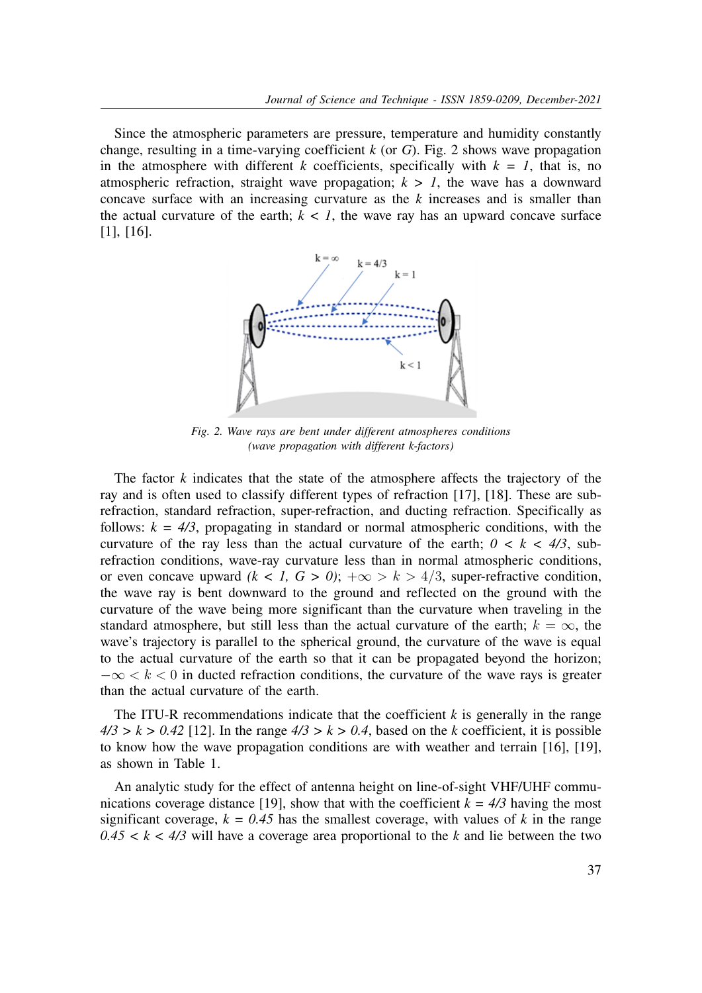Since the atmospheric parameters are pressure, temperature and humidity constantly change, resulting in a time-varying coefficient *k* (or *G*). Fig. 2 shows wave propagation in the atmosphere with different *k* coefficients, specifically with  $k = 1$ , that is, no atmospheric refraction, straight wave propagation;  $k > 1$ , the wave has a downward concave surface with an increasing curvature as the *k* increases and is smaller than the actual curvature of the earth;  $k < 1$ , the wave ray has an upward concave surface [1], [16].



*Fig. 2. Wave rays are bent under different atmospheres conditions (wave propagation with different k-factors)*

The factor *k* indicates that the state of the atmosphere affects the trajectory of the ray and is often used to classify different types of refraction [17], [18]. These are subrefraction, standard refraction, super-refraction, and ducting refraction. Specifically as follows:  $k = 4/3$ , propagating in standard or normal atmospheric conditions, with the curvature of the ray less than the actual curvature of the earth;  $0 \lt k \lt 4/3$ , subrefraction conditions, wave-ray curvature less than in normal atmospheric conditions, or even concave upward  $(k < 1, G > 0)$ ;  $+\infty > k > 4/3$ , super-refractive condition, the wave ray is bent downward to the ground and reflected on the ground with the curvature of the wave being more significant than the curvature when traveling in the standard atmosphere, but still less than the actual curvature of the earth;  $k = \infty$ , the wave's trajectory is parallel to the spherical ground, the curvature of the wave is equal to the actual curvature of the earth so that it can be propagated beyond the horizon;  $-\infty < k < 0$  in ducted refraction conditions, the curvature of the wave rays is greater than the actual curvature of the earth.

The ITU-R recommendations indicate that the coefficient *k* is generally in the range  $4/3 > k > 0.42$  [12]. In the range  $4/3 > k > 0.4$ , based on the *k* coefficient, it is possible to know how the wave propagation conditions are with weather and terrain [16], [19], as shown in Table 1.

An analytic study for the effect of antenna height on line-of-sight VHF/UHF communications coverage distance [19], show that with the coefficient  $k = 4/3$  having the most significant coverage,  $k = 0.45$  has the smallest coverage, with values of k in the range  $0.45 < k < 4/3$  will have a coverage area proportional to the *k* and lie between the two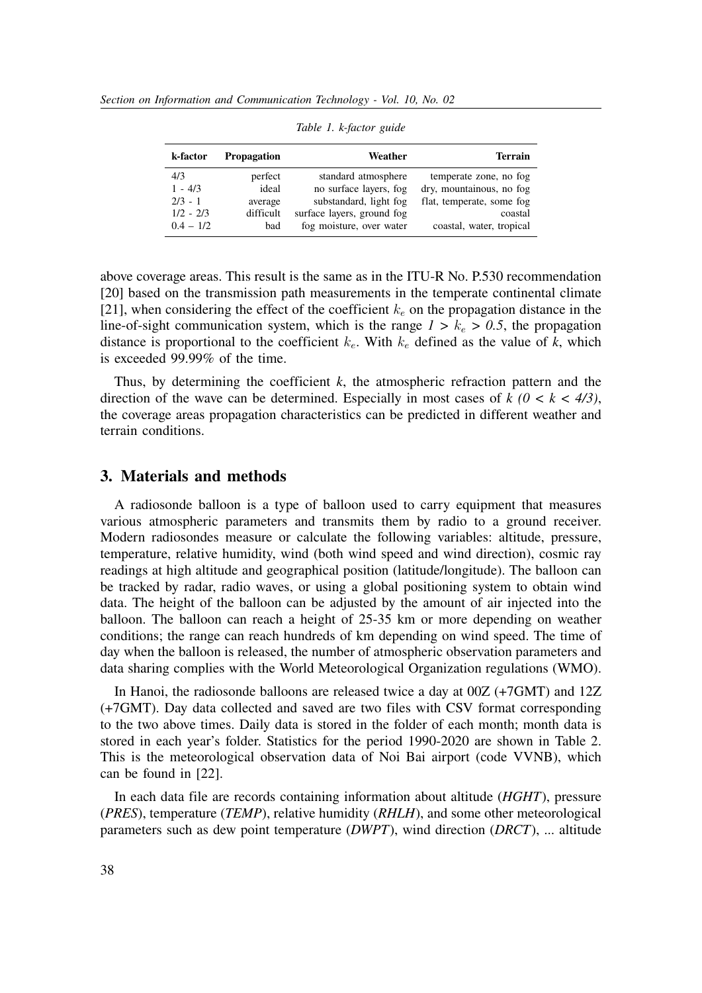| k-factor    | <b>Propagation</b> | Weather                    | <b>Terrain</b>            |
|-------------|--------------------|----------------------------|---------------------------|
| 4/3         | perfect            | standard atmosphere        | temperate zone, no fog    |
| $1 - 4/3$   | ideal              | no surface layers, fog     | dry, mountainous, no fog  |
| $2/3 - 1$   | average            | substandard, light fog     | flat, temperate, some fog |
| $1/2 - 2/3$ | difficult          | surface layers, ground fog | coastal                   |
| $0.4 - 1/2$ | bad                | fog moisture, over water   | coastal, water, tropical  |

*Table 1. k-factor guide*

above coverage areas. This result is the same as in the ITU-R No. P.530 recommendation [20] based on the transmission path measurements in the temperate continental climate [21], when considering the effect of the coefficient  $k_e$  on the propagation distance in the line-of-sight communication system, which is the range  $1 > k_e > 0.5$ , the propagation distance is proportional to the coefficient  $k_e$ . With  $k_e$  defined as the value of k, which is exceeded 99.99% of the time.

Thus, by determining the coefficient  $k$ , the atmospheric refraction pattern and the direction of the wave can be determined. Especially in most cases of  $k$  ( $0 < k < 4/3$ ), the coverage areas propagation characteristics can be predicted in different weather and terrain conditions.

### **3. Materials and methods**

A radiosonde balloon is a type of balloon used to carry equipment that measures various atmospheric parameters and transmits them by radio to a ground receiver. Modern radiosondes measure or calculate the following variables: altitude, pressure, temperature, relative humidity, wind (both wind speed and wind direction), cosmic ray readings at high altitude and geographical position (latitude/longitude). The balloon can be tracked by radar, radio waves, or using a global positioning system to obtain wind data. The height of the balloon can be adjusted by the amount of air injected into the balloon. The balloon can reach a height of 25-35 km or more depending on weather conditions; the range can reach hundreds of km depending on wind speed. The time of day when the balloon is released, the number of atmospheric observation parameters and data sharing complies with the World Meteorological Organization regulations (WMO).

In Hanoi, the radiosonde balloons are released twice a day at 00Z (+7GMT) and 12Z (+7GMT). Day data collected and saved are two files with CSV format corresponding to the two above times. Daily data is stored in the folder of each month; month data is stored in each year's folder. Statistics for the period 1990-2020 are shown in Table 2. This is the meteorological observation data of Noi Bai airport (code VVNB), which can be found in [22].

In each data file are records containing information about altitude (*HGHT*), pressure (*PRES*), temperature (*TEMP*), relative humidity (*RHLH*), and some other meteorological parameters such as dew point temperature (*DWPT*), wind direction (*DRCT*), ... altitude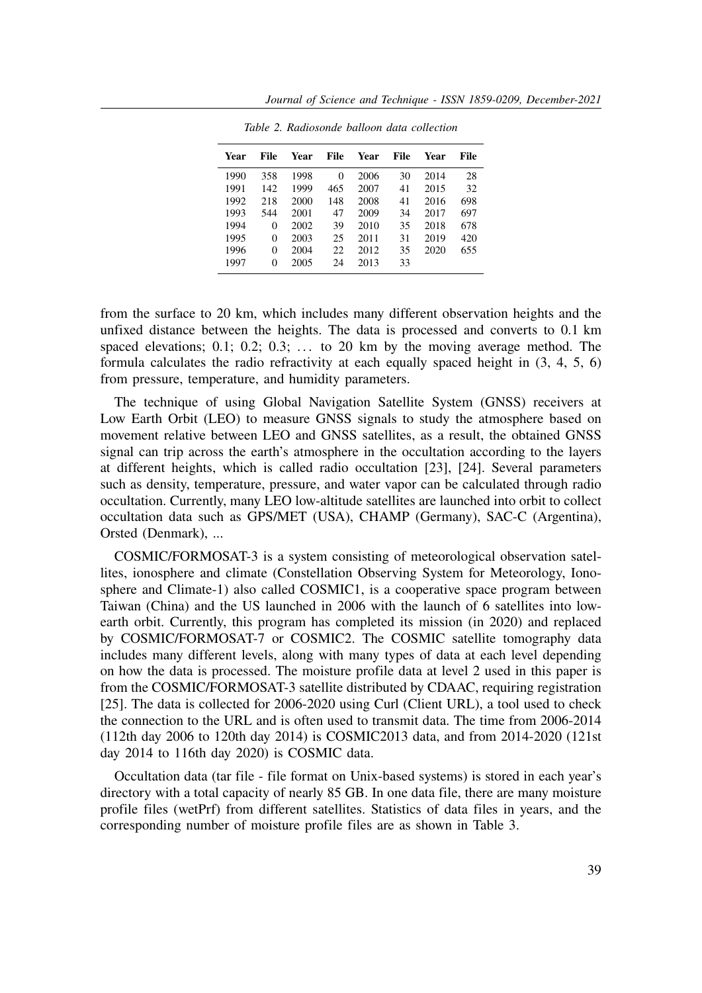| Year | File     | Year | File     | Year | File | Year | File |
|------|----------|------|----------|------|------|------|------|
| 1990 | 358      | 1998 | $\Omega$ | 2006 | 30   | 2014 | 28   |
| 1991 | 142      | 1999 | 465      | 2007 | 41   | 2015 | 32   |
| 1992 | 218      | 2000 | 148      | 2008 | 41   | 2016 | 698  |
| 1993 | 544      | 2001 | 47       | 2009 | 34   | 2017 | 697  |
| 1994 | $\Omega$ | 2002 | 39       | 2010 | 35   | 2018 | 678  |
| 1995 | $\Omega$ | 2003 | 25       | 2011 | 31   | 2019 | 420  |
| 1996 | $\Omega$ | 2004 | 22       | 2012 | 35   | 2020 | 655  |
| 1997 | $\Omega$ | 2005 | 24       | 2013 | 33   |      |      |

*Table 2. Radiosonde balloon data collection*

from the surface to 20 km, which includes many different observation heights and the unfixed distance between the heights. The data is processed and converts to 0.1 km spaced elevations;  $0.1$ ;  $0.2$ ;  $0.3$ ; ... to 20 km by the moving average method. The formula calculates the radio refractivity at each equally spaced height in (3, 4, 5, 6) from pressure, temperature, and humidity parameters.

The technique of using Global Navigation Satellite System (GNSS) receivers at Low Earth Orbit (LEO) to measure GNSS signals to study the atmosphere based on movement relative between LEO and GNSS satellites, as a result, the obtained GNSS signal can trip across the earth's atmosphere in the occultation according to the layers at different heights, which is called radio occultation [23], [24]. Several parameters such as density, temperature, pressure, and water vapor can be calculated through radio occultation. Currently, many LEO low-altitude satellites are launched into orbit to collect occultation data such as GPS/MET (USA), CHAMP (Germany), SAC-C (Argentina), Orsted (Denmark), ...

COSMIC/FORMOSAT-3 is a system consisting of meteorological observation satellites, ionosphere and climate (Constellation Observing System for Meteorology, Ionosphere and Climate-1) also called COSMIC1, is a cooperative space program between Taiwan (China) and the US launched in 2006 with the launch of 6 satellites into lowearth orbit. Currently, this program has completed its mission (in 2020) and replaced by COSMIC/FORMOSAT-7 or COSMIC2. The COSMIC satellite tomography data includes many different levels, along with many types of data at each level depending on how the data is processed. The moisture profile data at level 2 used in this paper is from the COSMIC/FORMOSAT-3 satellite distributed by CDAAC, requiring registration [25]. The data is collected for 2006-2020 using Curl (Client URL), a tool used to check the connection to the URL and is often used to transmit data. The time from 2006-2014 (112th day 2006 to 120th day 2014) is COSMIC2013 data, and from 2014-2020 (121st day 2014 to 116th day 2020) is COSMIC data.

Occultation data (tar file - file format on Unix-based systems) is stored in each year's directory with a total capacity of nearly 85 GB. In one data file, there are many moisture profile files (wetPrf) from different satellites. Statistics of data files in years, and the corresponding number of moisture profile files are as shown in Table 3.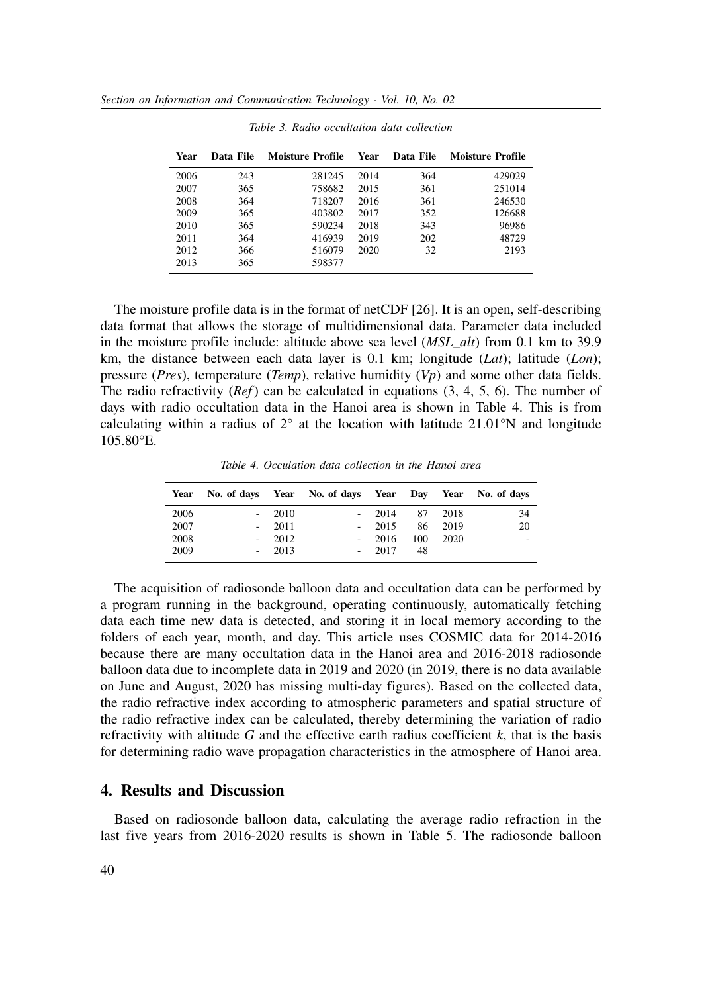| Year | Data File | Moisture Profile | Year | Data File | <b>Moisture Profile</b> |
|------|-----------|------------------|------|-----------|-------------------------|
| 2006 | 243       | 281245           | 2014 | 364       | 429029                  |
| 2007 | 365       | 758682           | 2015 | 361       | 251014                  |
| 2008 | 364       | 718207           | 2016 | 361       | 246530                  |
| 2009 | 365       | 403802           | 2017 | 352       | 126688                  |
| 2010 | 365       | 590234           | 2018 | 343       | 96986                   |
| 2011 | 364       | 416939           | 2019 | 202       | 48729                   |
| 2012 | 366       | 516079           | 2020 | 32        | 2193                    |
| 2013 | 365       | 598377           |      |           |                         |
|      |           |                  |      |           |                         |

*Table 3. Radio occultation data collection*

The moisture profile data is in the format of netCDF [26]. It is an open, self-describing data format that allows the storage of multidimensional data. Parameter data included in the moisture profile include: altitude above sea level (*MSL\_alt*) from 0.1 km to 39.9 km, the distance between each data layer is 0.1 km; longitude (*Lat*); latitude (*Lon*); pressure (*Pres*), temperature (*Temp*), relative humidity (*Vp*) and some other data fields. The radio refractivity (*Ref*) can be calculated in equations (3, 4, 5, 6). The number of days with radio occultation data in the Hanoi area is shown in Table 4. This is from calculating within a radius of  $2^{\circ}$  at the location with latitude 21.01°N and longitude 105.80°E.

*Table 4. Occulation data collection in the Hanoi area*

| Year | No. of days Year No. of days Year Day Year No. of days |         |         |         |       |    |
|------|--------------------------------------------------------|---------|---------|---------|-------|----|
| 2006 |                                                        | $-2010$ | $-2014$ | 87 2018 |       | 34 |
| 2007 |                                                        | $-2011$ | $-2015$ | 86      | 2019  | 20 |
| 2008 |                                                        | $-2012$ | $-2016$ | 100     | -2020 | -  |
| 2009 |                                                        | $-2013$ | $-2017$ | 48      |       |    |

The acquisition of radiosonde balloon data and occultation data can be performed by a program running in the background, operating continuously, automatically fetching data each time new data is detected, and storing it in local memory according to the folders of each year, month, and day. This article uses COSMIC data for 2014-2016 because there are many occultation data in the Hanoi area and 2016-2018 radiosonde balloon data due to incomplete data in 2019 and 2020 (in 2019, there is no data available on June and August, 2020 has missing multi-day figures). Based on the collected data, the radio refractive index according to atmospheric parameters and spatial structure of the radio refractive index can be calculated, thereby determining the variation of radio refractivity with altitude *G* and the effective earth radius coefficient *k*, that is the basis for determining radio wave propagation characteristics in the atmosphere of Hanoi area.

### **4. Results and Discussion**

Based on radiosonde balloon data, calculating the average radio refraction in the last five years from 2016-2020 results is shown in Table 5. The radiosonde balloon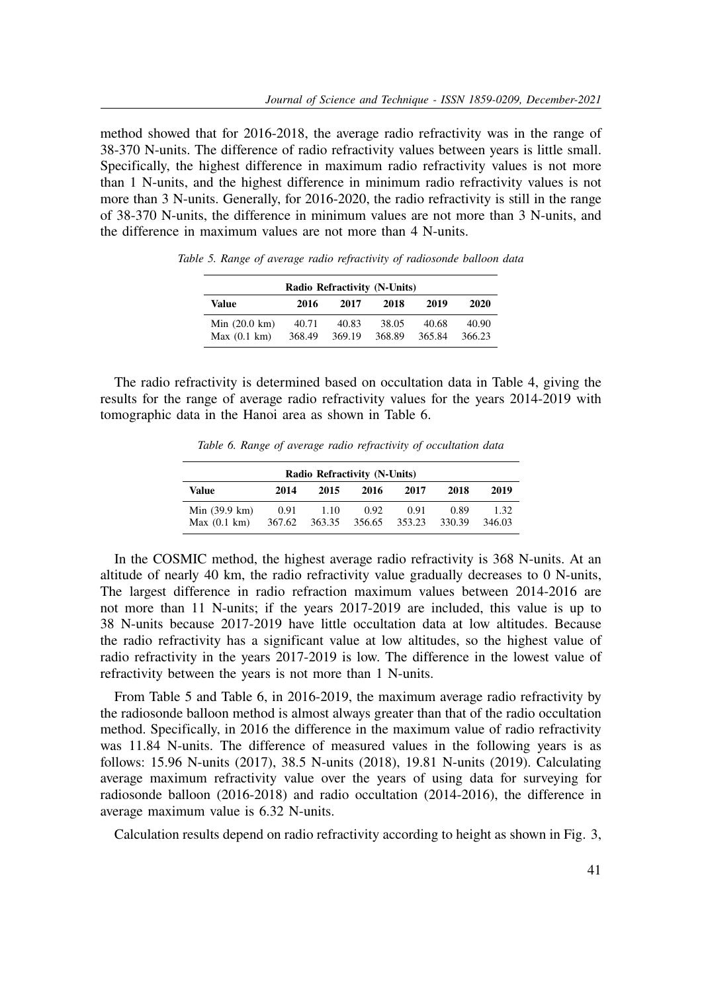method showed that for 2016-2018, the average radio refractivity was in the range of 38-370 N-units. The difference of radio refractivity values between years is little small. Specifically, the highest difference in maximum radio refractivity values is not more than 1 N-units, and the highest difference in minimum radio refractivity values is not more than 3 N-units. Generally, for 2016-2020, the radio refractivity is still in the range of 38-370 N-units, the difference in minimum values are not more than 3 N-units, and the difference in maximum values are not more than 4 N-units.

| Radio Refractivity (N-Units)           |                 |                 |                 |                 |                 |  |  |  |
|----------------------------------------|-----------------|-----------------|-----------------|-----------------|-----------------|--|--|--|
| Value                                  | 2018            | 2019            | 2020            |                 |                 |  |  |  |
| Min $(20.0 \text{ km})$<br>Max(0.1 km) | 40.71<br>368.49 | 40.83<br>369.19 | 38.05<br>368.89 | 40.68<br>365.84 | 40.90<br>366.23 |  |  |  |

*Table 5. Range of average radio refractivity of radiosonde balloon data*

The radio refractivity is determined based on occultation data in Table 4, giving the results for the range of average radio refractivity values for the years 2014-2019 with tomographic data in the Hanoi area as shown in Table 6.

*Table 6. Range of average radio refractivity of occultation data*

| Radio Refractivity (N-Units)           |                |                |                |                |                |                |  |  |
|----------------------------------------|----------------|----------------|----------------|----------------|----------------|----------------|--|--|
| Value                                  | 2014           | 2015           | 2016           | 2017           | 2018           | 2019           |  |  |
| Min $(39.9 \text{ km})$<br>Max(0.1 km) | 0.91<br>367.62 | 1.10<br>363.35 | 0.92<br>356.65 | 0.91<br>353.23 | 0.89<br>330.39 | 1.32<br>346.03 |  |  |

In the COSMIC method, the highest average radio refractivity is 368 N-units. At an altitude of nearly 40 km, the radio refractivity value gradually decreases to 0 N-units, The largest difference in radio refraction maximum values between 2014-2016 are not more than 11 N-units; if the years 2017-2019 are included, this value is up to 38 N-units because 2017-2019 have little occultation data at low altitudes. Because the radio refractivity has a significant value at low altitudes, so the highest value of radio refractivity in the years 2017-2019 is low. The difference in the lowest value of refractivity between the years is not more than 1 N-units.

From Table 5 and Table 6, in 2016-2019, the maximum average radio refractivity by the radiosonde balloon method is almost always greater than that of the radio occultation method. Specifically, in 2016 the difference in the maximum value of radio refractivity was 11.84 N-units. The difference of measured values in the following years is as follows: 15.96 N-units (2017), 38.5 N-units (2018), 19.81 N-units (2019). Calculating average maximum refractivity value over the years of using data for surveying for radiosonde balloon (2016-2018) and radio occultation (2014-2016), the difference in average maximum value is 6.32 N-units.

Calculation results depend on radio refractivity according to height as shown in Fig. 3,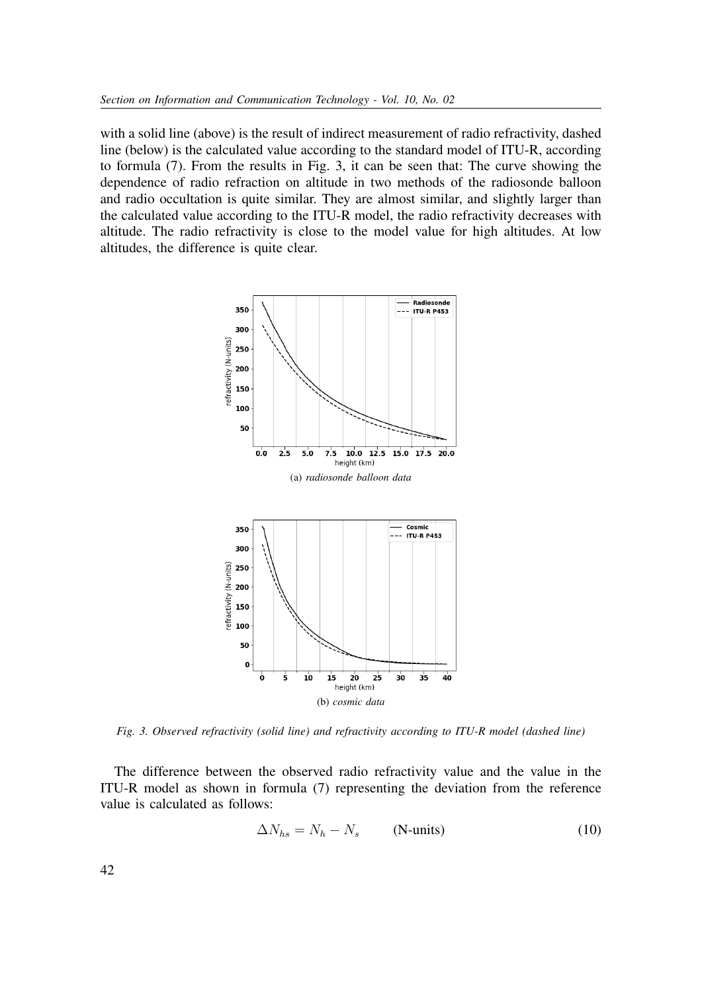with a solid line (above) is the result of indirect measurement of radio refractivity, dashed line (below) is the calculated value according to the standard model of ITU-R, according to formula (7). From the results in Fig. 3, it can be seen that: The curve showing the dependence of radio refraction on altitude in two methods of the radiosonde balloon and radio occultation is quite similar. They are almost similar, and slightly larger than the calculated value according to the ITU-R model, the radio refractivity decreases with altitude. The radio refractivity is close to the model value for high altitudes. At low altitudes, the difference is quite clear.



*Fig. 3. Observed refractivity (solid line) and refractivity according to ITU-R model (dashed line)*

The difference between the observed radio refractivity value and the value in the ITU-R model as shown in formula (7) representing the deviation from the reference value is calculated as follows:

$$
\Delta N_{hs} = N_h - N_s \qquad \text{(N-units)} \tag{10}
$$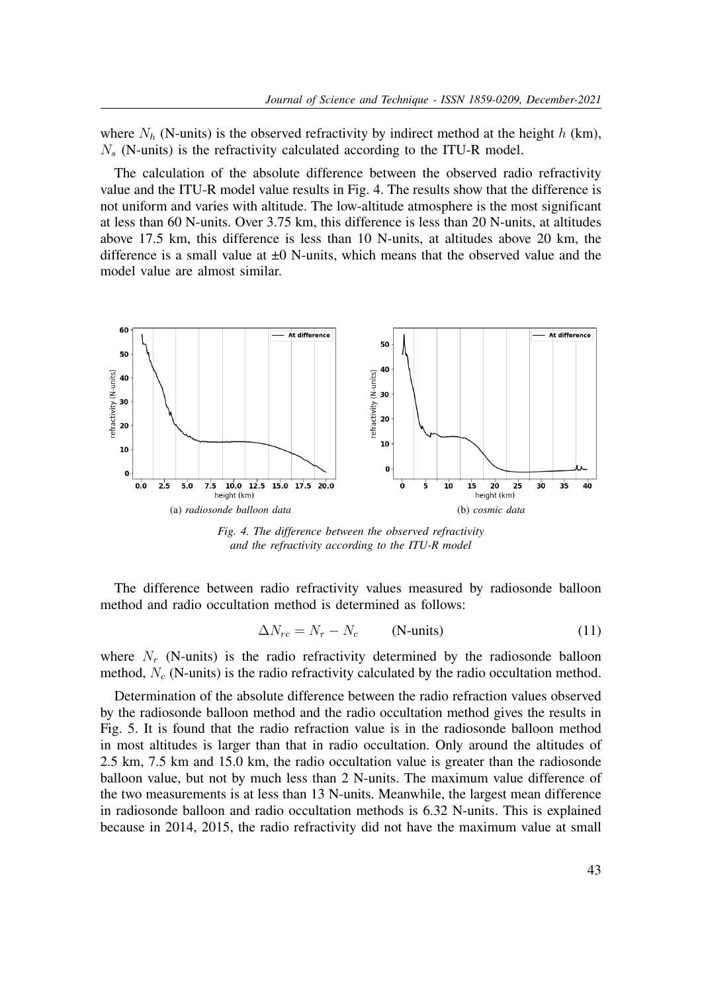where  $N_h$  (N-units) is the observed refractivity by indirect method at the height h (km),  $N<sub>s</sub>$  (N-units) is the refractivity calculated according to the ITU-R model.

The calculation of the absolute difference between the observed radio refractivity value and the ITU-R model value results in Fig. 4. The results show that the difference is not uniform and varies with altitude. The low-altitude atmosphere is the most significant at less than 60 N-units. Over 3.75 km, this difference is less than 20 N-units, at altitudes above 17.5 km, this difference is less than 10 N-units, at altitudes above 20 km, the difference is a small value at  $\pm 0$  N-units, which means that the observed value and the model value are almost similar.



*Fig. 4. The difference between the observed refractivity and the refractivity according to the ITU-R model*

The difference between radio refractivity values measured by radiosonde balloon method and radio occultation method is determined as follows:

$$
\Delta N_{rc} = N_r - N_c \qquad \text{(N-units)} \tag{11}
$$

where  $N_r$  (N-units) is the radio refractivity determined by the radiosonde balloon method,  $N_c$  (N-units) is the radio refractivity calculated by the radio occultation method.

Determination of the absolute difference between the radio refraction values observed by the radiosonde balloon method and the radio occultation method gives the results in Fig. 5. It is found that the radio refraction value is in the radiosonde balloon method in most altitudes is larger than that in radio occultation. Only around the altitudes of 2.5 km, 7.5 km and 15.0 km, the radio occultation value is greater than the radiosonde balloon value, but not by much less than 2 N-units. The maximum value difference of the two measurements is at less than 13 N-units. Meanwhile, the largest mean difference in radiosonde balloon and radio occultation methods is 6.32 N-units. This is explained because in 2014, 2015, the radio refractivity did not have the maximum value at small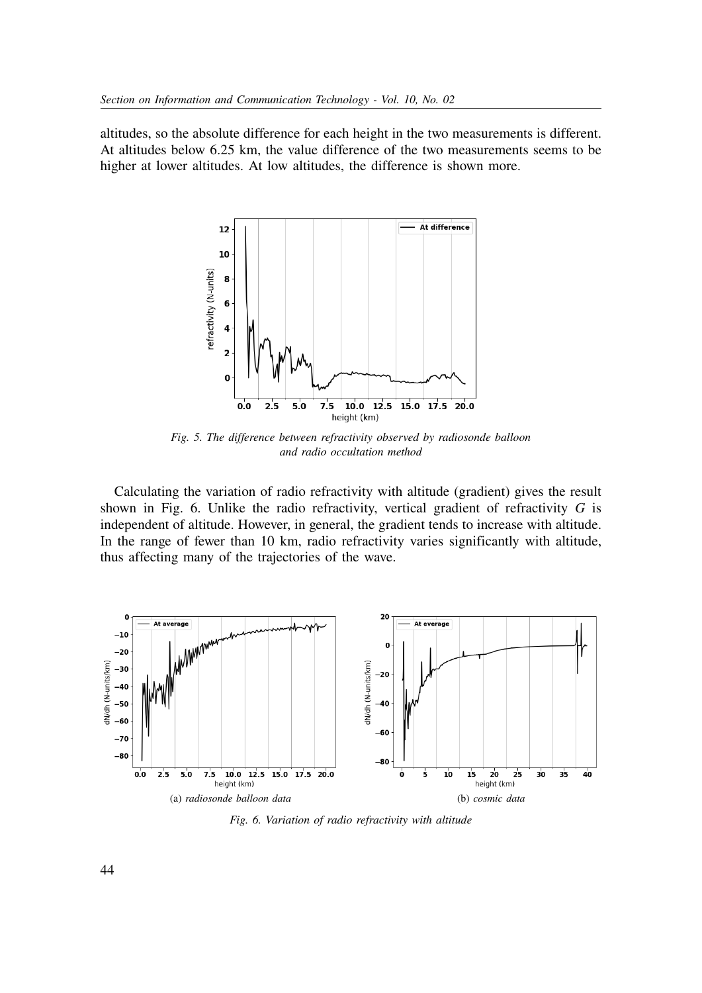altitudes, so the absolute difference for each height in the two measurements is different. At altitudes below 6.25 km, the value difference of the two measurements seems to be higher at lower altitudes. At low altitudes, the difference is shown more.



*Fig. 5. The difference between refractivity observed by radiosonde balloon and radio occultation method*

Calculating the variation of radio refractivity with altitude (gradient) gives the result shown in Fig. 6. Unlike the radio refractivity, vertical gradient of refractivity *G* is independent of altitude. However, in general, the gradient tends to increase with altitude. In the range of fewer than 10 km, radio refractivity varies significantly with altitude, thus affecting many of the trajectories of the wave.



*Fig. 6. Variation of radio refractivity with altitude*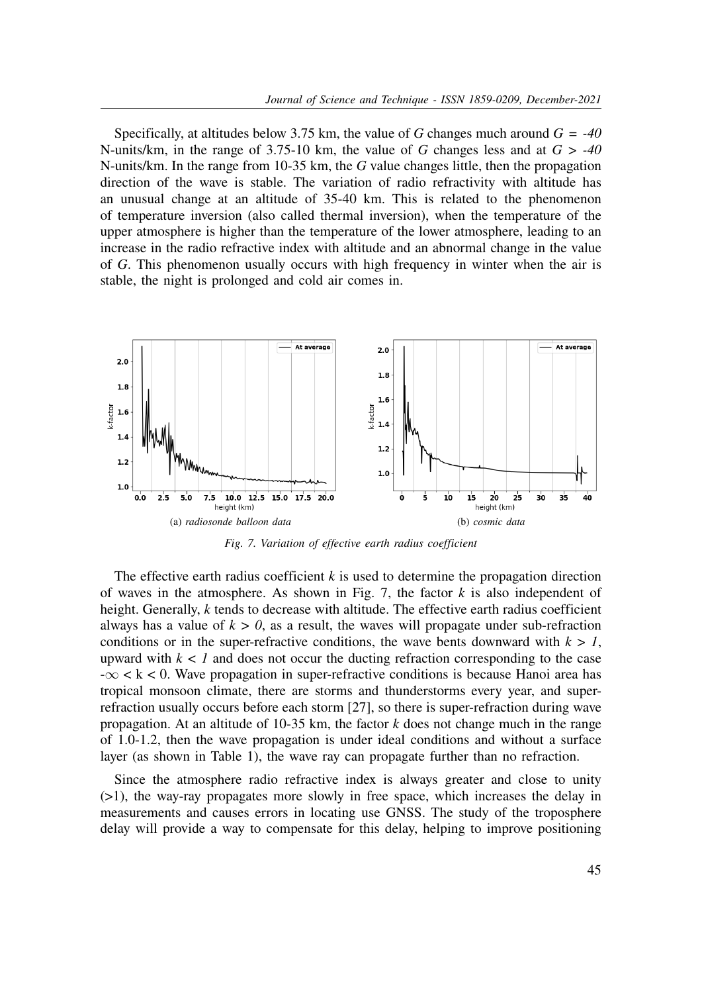Specifically, at altitudes below 3.75 km, the value of *G* changes much around *G = -40* N-units/km, in the range of 3.75-10 km, the value of *G* changes less and at *G > -40* N-units/km. In the range from 10-35 km, the *G* value changes little, then the propagation direction of the wave is stable. The variation of radio refractivity with altitude has an unusual change at an altitude of 35-40 km. This is related to the phenomenon of temperature inversion (also called thermal inversion), when the temperature of the upper atmosphere is higher than the temperature of the lower atmosphere, leading to an increase in the radio refractive index with altitude and an abnormal change in the value of *G*. This phenomenon usually occurs with high frequency in winter when the air is stable, the night is prolonged and cold air comes in.



*Fig. 7. Variation of effective earth radius coefficient*

The effective earth radius coefficient  $k$  is used to determine the propagation direction of waves in the atmosphere. As shown in Fig. 7, the factor *k* is also independent of height. Generally, *k* tends to decrease with altitude. The effective earth radius coefficient always has a value of  $k > 0$ , as a result, the waves will propagate under sub-refraction conditions or in the super-refractive conditions, the wave bents downward with  $k > 1$ , upward with  $k < l$  and does not occur the ducting refraction corresponding to the case  $-\infty < k < 0$ . Wave propagation in super-refractive conditions is because Hanoi area has tropical monsoon climate, there are storms and thunderstorms every year, and superrefraction usually occurs before each storm [27], so there is super-refraction during wave propagation. At an altitude of 10-35 km, the factor *k* does not change much in the range of 1.0-1.2, then the wave propagation is under ideal conditions and without a surface layer (as shown in Table 1), the wave ray can propagate further than no refraction.

Since the atmosphere radio refractive index is always greater and close to unity (>1), the way-ray propagates more slowly in free space, which increases the delay in measurements and causes errors in locating use GNSS. The study of the troposphere delay will provide a way to compensate for this delay, helping to improve positioning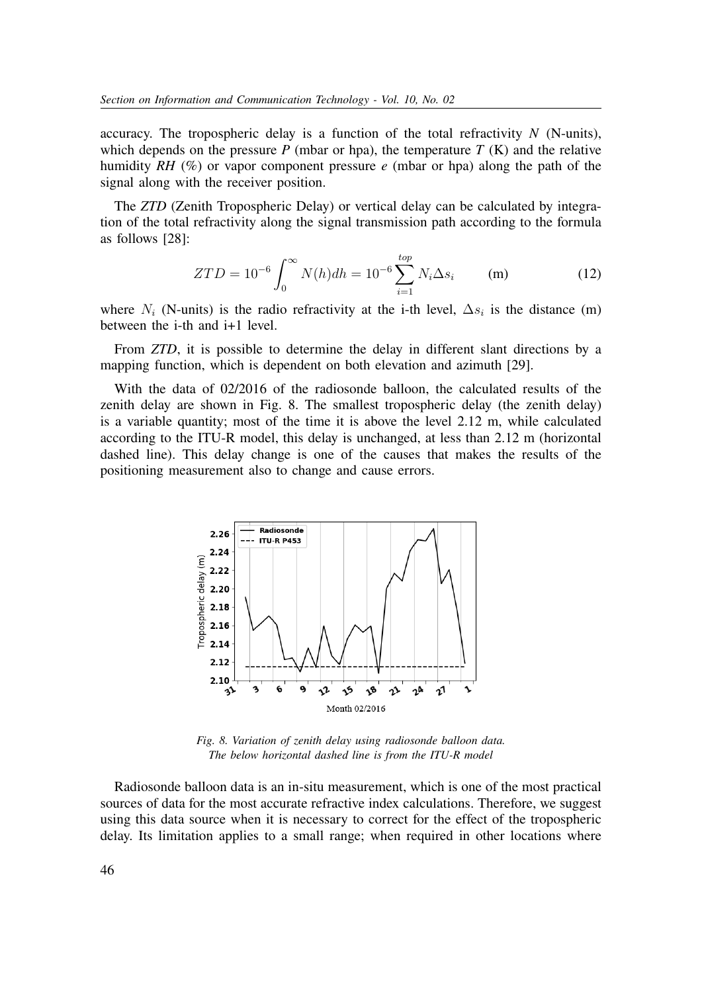accuracy. The tropospheric delay is a function of the total refractivity *N* (N-units), which depends on the pressure  $P$  (mbar or hpa), the temperature  $T(K)$  and the relative humidity *RH* (%) or vapor component pressure *e* (mbar or hpa) along the path of the signal along with the receiver position.

The *ZTD* (Zenith Tropospheric Delay) or vertical delay can be calculated by integration of the total refractivity along the signal transmission path according to the formula as follows [28]:

$$
ZTD = 10^{-6} \int_0^\infty N(h)dh = 10^{-6} \sum_{i=1}^{top} N_i \Delta s_i \qquad (m)
$$
 (12)

where  $N_i$  (N-units) is the radio refractivity at the i-th level,  $\Delta s_i$  is the distance (m) between the i-th and i+1 level.

From *ZTD*, it is possible to determine the delay in different slant directions by a mapping function, which is dependent on both elevation and azimuth [29].

With the data of 02/2016 of the radiosonde balloon, the calculated results of the zenith delay are shown in Fig. 8. The smallest tropospheric delay (the zenith delay) is a variable quantity; most of the time it is above the level 2.12 m, while calculated according to the ITU-R model, this delay is unchanged, at less than 2.12 m (horizontal dashed line). This delay change is one of the causes that makes the results of the positioning measurement also to change and cause errors.



*Fig. 8. Variation of zenith delay using radiosonde balloon data. The below horizontal dashed line is from the ITU-R model*

Radiosonde balloon data is an in-situ measurement, which is one of the most practical sources of data for the most accurate refractive index calculations. Therefore, we suggest using this data source when it is necessary to correct for the effect of the tropospheric delay. Its limitation applies to a small range; when required in other locations where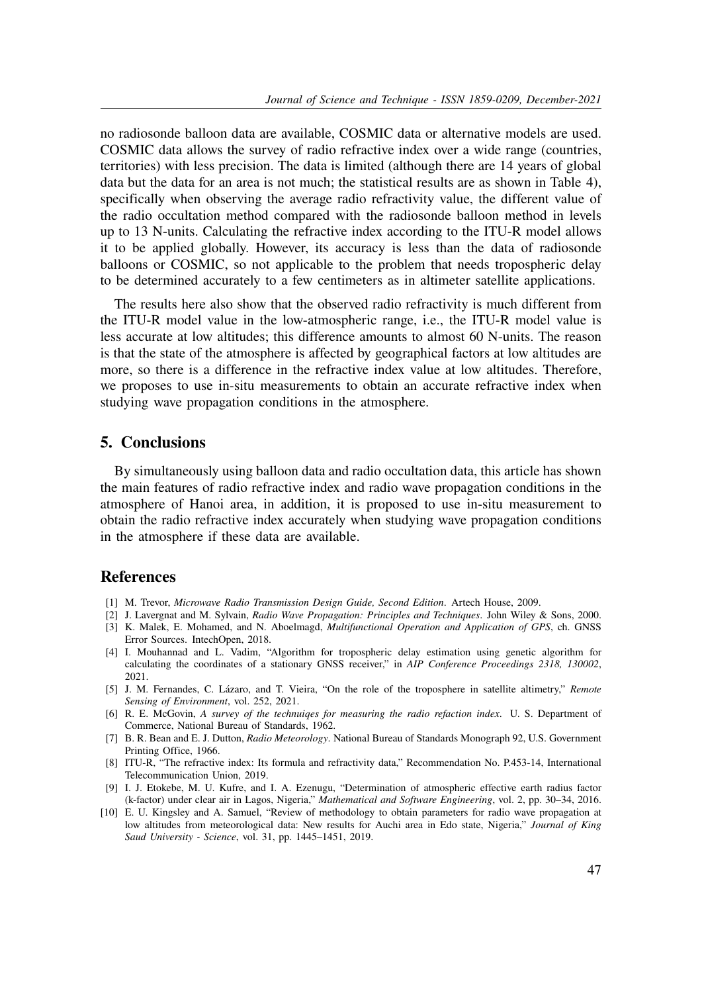no radiosonde balloon data are available, COSMIC data or alternative models are used. COSMIC data allows the survey of radio refractive index over a wide range (countries, territories) with less precision. The data is limited (although there are 14 years of global data but the data for an area is not much; the statistical results are as shown in Table 4), specifically when observing the average radio refractivity value, the different value of the radio occultation method compared with the radiosonde balloon method in levels up to 13 N-units. Calculating the refractive index according to the ITU-R model allows it to be applied globally. However, its accuracy is less than the data of radiosonde balloons or COSMIC, so not applicable to the problem that needs tropospheric delay to be determined accurately to a few centimeters as in altimeter satellite applications.

The results here also show that the observed radio refractivity is much different from the ITU-R model value in the low-atmospheric range, i.e., the ITU-R model value is less accurate at low altitudes; this difference amounts to almost 60 N-units. The reason is that the state of the atmosphere is affected by geographical factors at low altitudes are more, so there is a difference in the refractive index value at low altitudes. Therefore, we proposes to use in-situ measurements to obtain an accurate refractive index when studying wave propagation conditions in the atmosphere.

#### **5. Conclusions**

By simultaneously using balloon data and radio occultation data, this article has shown the main features of radio refractive index and radio wave propagation conditions in the atmosphere of Hanoi area, in addition, it is proposed to use in-situ measurement to obtain the radio refractive index accurately when studying wave propagation conditions in the atmosphere if these data are available.

## **References**

- [1] M. Trevor, *Microwave Radio Transmission Design Guide, Second Edition*. Artech House, 2009.
- [2] J. Lavergnat and M. Sylvain, *Radio Wave Propagation: Principles and Techniques*. John Wiley & Sons, 2000. [3] K. Malek, E. Mohamed, and N. Aboelmagd, *Multifunctional Operation and Application of GPS*, ch. GNSS
- Error Sources. IntechOpen, 2018. [4] I. Mouhannad and L. Vadim, "Algorithm for tropospheric delay estimation using genetic algorithm for calculating the coordinates of a stationary GNSS receiver," in *AIP Conference Proceedings 2318, 130002*, 2021.
- [5] J. M. Fernandes, C. Lázaro, and T. Vieira, "On the role of the troposphere in satellite altimetry," *Remote Sensing of Environment*, vol. 252, 2021.
- [6] R. E. McGovin, *A survey of the technuiqes for measuring the radio refaction index*. U. S. Department of Commerce, National Bureau of Standards, 1962.
- [7] B. R. Bean and E. J. Dutton, *Radio Meteorology*. National Bureau of Standards Monograph 92, U.S. Government Printing Office, 1966.
- [8] ITU-R, "The refractive index: Its formula and refractivity data," Recommendation No. P.453-14, International Telecommunication Union, 2019.
- [9] I. J. Etokebe, M. U. Kufre, and I. A. Ezenugu, "Determination of atmospheric effective earth radius factor (k-factor) under clear air in Lagos, Nigeria," *Mathematical and Software Engineering*, vol. 2, pp. 30–34, 2016.
- [10] E. U. Kingsley and A. Samuel, "Review of methodology to obtain parameters for radio wave propagation at low altitudes from meteorological data: New results for Auchi area in Edo state, Nigeria," *Journal of King Saud University - Science*, vol. 31, pp. 1445–1451, 2019.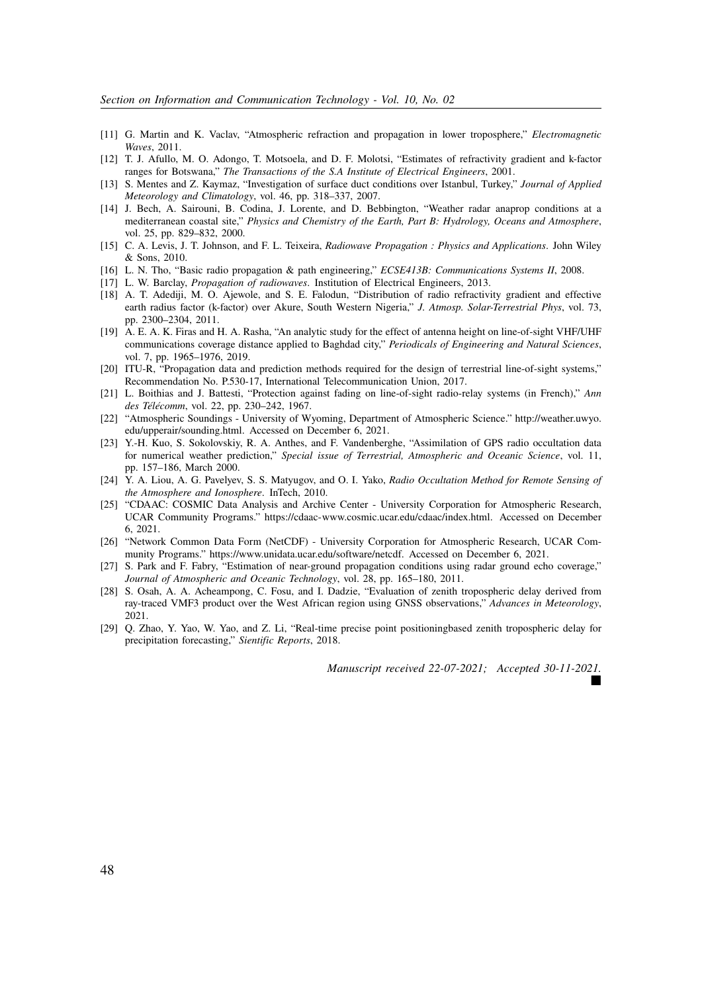- [11] G. Martin and K. Vaclav, "Atmospheric refraction and propagation in lower troposphere," *Electromagnetic Waves*, 2011.
- [12] T. J. Afullo, M. O. Adongo, T. Motsoela, and D. F. Molotsi, "Estimates of refractivity gradient and k-factor ranges for Botswana," *The Transactions of the S.A Institute of Electrical Engineers*, 2001.
- [13] S. Mentes and Z. Kaymaz, "Investigation of surface duct conditions over Istanbul, Turkey," *Journal of Applied Meteorology and Climatology*, vol. 46, pp. 318–337, 2007.
- [14] J. Bech, A. Sairouni, B. Codina, J. Lorente, and D. Bebbington, "Weather radar anaprop conditions at a mediterranean coastal site," *Physics and Chemistry of the Earth, Part B: Hydrology, Oceans and Atmosphere*, vol. 25, pp. 829–832, 2000.
- [15] C. A. Levis, J. T. Johnson, and F. L. Teixeira, *Radiowave Propagation : Physics and Applications*. John Wiley & Sons, 2010.
- [16] L. N. Tho, "Basic radio propagation & path engineering," *ECSE413B: Communications Systems II*, 2008.
- [17] L. W. Barclay, *Propagation of radiowaves*. Institution of Electrical Engineers, 2013.
- [18] A. T. Adediji, M. O. Ajewole, and S. E. Falodun, "Distribution of radio refractivity gradient and effective earth radius factor (k-factor) over Akure, South Western Nigeria," *J. Atmosp. Solar-Terrestrial Phys*, vol. 73, pp. 2300–2304, 2011.
- [19] A. E. A. K. Firas and H. A. Rasha, "An analytic study for the effect of antenna height on line-of-sight VHF/UHF communications coverage distance applied to Baghdad city," *Periodicals of Engineering and Natural Sciences*, vol. 7, pp. 1965–1976, 2019.
- [20] ITU-R, "Propagation data and prediction methods required for the design of terrestrial line-of-sight systems," Recommendation No. P.530-17, International Telecommunication Union, 2017.
- [21] L. Boithias and J. Battesti, "Protection against fading on line-of-sight radio-relay systems (in French)," *Ann des Télécomm*, vol. 22, pp. 230–242, 1967.
- [22] "Atmospheric Soundings University of Wyoming, Department of Atmospheric Science." http://weather.uwyo. edu/upperair/sounding.html. Accessed on December 6, 2021.
- [23] Y.-H. Kuo, S. Sokolovskiy, R. A. Anthes, and F. Vandenberghe, "Assimilation of GPS radio occultation data for numerical weather prediction," *Special issue of Terrestrial, Atmospheric and Oceanic Science*, vol. 11, pp. 157–186, March 2000.
- [24] Y. A. Liou, A. G. Pavelyev, S. S. Matyugov, and O. I. Yako, *Radio Occultation Method for Remote Sensing of the Atmosphere and Ionosphere*. InTech, 2010.
- [25] "CDAAC: COSMIC Data Analysis and Archive Center University Corporation for Atmospheric Research, UCAR Community Programs." https://cdaac-www.cosmic.ucar.edu/cdaac/index.html. Accessed on December 6, 2021.
- [26] "Network Common Data Form (NetCDF) University Corporation for Atmospheric Research, UCAR Community Programs." https://www.unidata.ucar.edu/software/netcdf. Accessed on December 6, 2021.
- [27] S. Park and F. Fabry, "Estimation of near-ground propagation conditions using radar ground echo coverage," *Journal of Atmospheric and Oceanic Technology*, vol. 28, pp. 165–180, 2011.
- [28] S. Osah, A. A. Acheampong, C. Fosu, and I. Dadzie, "Evaluation of zenith tropospheric delay derived from ray-traced VMF3 product over the West African region using GNSS observations," *Advances in Meteorology*, 2021.
- [29] Q. Zhao, Y. Yao, W. Yao, and Z. Li, "Real-time precise point positioningbased zenith tropospheric delay for precipitation forecasting," *Sientific Reports*, 2018.

*Manuscript received 22-07-2021; Accepted 30-11-2021.* ■